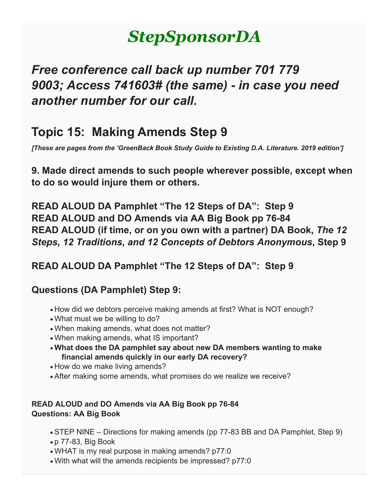# *StepSponsorDA*

## *Free conference call back up number 701 779 9003; Access 741603# (the same) - in case you need another number for our call.*

### **Topic 15: Making Amends Step 9**

*[These are pages from the 'GreenBack Book Study Guide to Existing D.A. Literature. 2019 edition']*

**9. Made direct amends to such people wherever possible, except when to do so would injure them or others.**

**READ ALOUD DA Pamphlet "The 12 Steps of DA": Step 9 READ ALOUD and DO Amends via AA Big Book pp 76-84 READ ALOUD (if time, or on you own with a partner) DA Book,** *The 12 Steps, 12 Traditions, and 12 Concepts of Debtors Anonymous***, Step 9**

**READ ALOUD DA Pamphlet "The 12 Steps of DA": Step 9**

### **Questions (DA Pamphlet) Step 9:**

- How did we debtors perceive making amends at first? What is NOT enough?
- What must we be willing to do?
- When making amends, what does not matter?
- When making amends, what IS important?
- **What does the DA pamphlet say about new DA members wanting to make financial amends quickly in our early DA recovery?**
- How do we make living amends?
- After making some amends, what promises do we realize we receive?

#### **READ ALOUD and DO Amends via AA Big Book pp 76-84 Questions: AA Big Book**

- STEP NINE Directions for making amends (pp 77-83 BB and DA Pamphlet, Step 9)
- p 77-83, Big Book
- WHAT is my real purpose in making amends? p77:0
- With what will the amends recipients be impressed? p77:0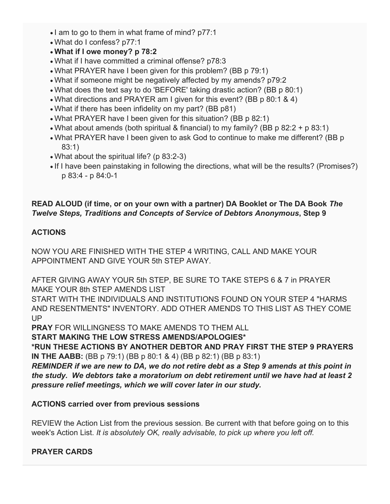- I am to go to them in what frame of mind? p77:1
- What do I confess? p77:1
- **What if I owe money? p 78:2**
- What if I have committed a criminal offense? p78:3
- What PRAYER have I been given for this problem? (BB p 79:1)
- What if someone might be negatively affected by my amends? p79:2
- What does the text say to do 'BEFORE' taking drastic action? (BB p 80:1)
- What directions and PRAYER am I given for this event? (BB p 80:1 & 4)
- What if there has been infidelity on my part? (BB p81)
- What PRAYER have I been given for this situation? (BB p 82:1)
- What about amends (both spiritual & financial) to my family? (BB p 82:2 + p 83:1)
- What PRAYER have I been given to ask God to continue to make me different? (BB p 83:1)
- What about the spiritual life? (p 83:2-3)
- If I have been painstaking in following the directions, what will be the results? (Promises?) p 83:4 - p 84:0-1

#### **READ ALOUD (if time, or on your own with a partner) DA Booklet or The DA Book** *The Twelve Steps, Traditions and Concepts of Service of Debtors Anonymous***, Step 9**

#### **ACTIONS**

NOW YOU ARE FINISHED WITH THE STEP 4 WRITING, CALL AND MAKE YOUR APPOINTMENT AND GIVE YOUR 5th STEP AWAY.

AFTER GIVING AWAY YOUR 5th STEP, BE SURE TO TAKE STEPS 6 & 7 in PRAYER MAKE YOUR 8th STEP AMENDS LIST

START WITH THE INDIVIDUALS AND INSTITUTIONS FOUND ON YOUR STEP 4 "HARMS AND RESENTMENTS" INVENTORY. ADD OTHER AMENDS TO THIS LIST AS THEY COME UP

**PRAY** FOR WILLINGNESS TO MAKE AMENDS TO THEM ALL

**START MAKING THE LOW STRESS AMENDS/APOLOGIES\***

**\*RUN THESE ACTIONS BY ANOTHER DEBTOR AND PRAY FIRST THE STEP 9 PRAYERS IN THE AABB:** (BB p 79:1) (BB p 80:1 & 4) (BB p 82:1) (BB p 83:1)

*REMINDER if we are new to DA, we do not retire debt as a Step 9 amends at this point in the study. We debtors take a moratorium on debt retirement until we have had at least 2 pressure relief meetings, which we will cover later in our study.*

#### **ACTIONS carried over from previous sessions**

REVIEW the Action List from the previous session. Be current with that before going on to this week's Action List. *It is absolutely OK, really advisable, to pick up where you left off.*

#### **PRAYER CARDS**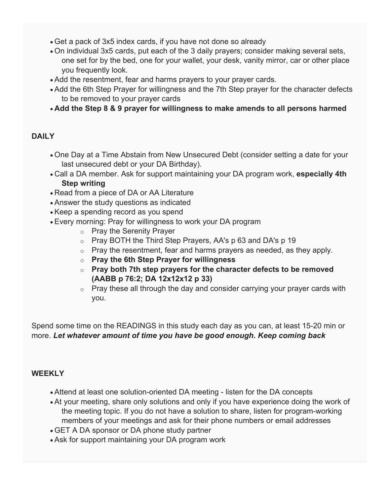- Get a pack of 3x5 index cards, if you have not done so already
- On individual 3x5 cards, put each of the 3 daily prayers; consider making several sets, one set for by the bed, one for your wallet, your desk, vanity mirror, car or other place you frequently look.
- Add the resentment, fear and harms prayers to your prayer cards.
- Add the 6th Step Prayer for willingness and the 7th Step prayer for the character defects to be removed to your prayer cards
- **Add the Step 8 & 9 prayer for willingness to make amends to all persons harmed**

#### **DAILY**

- One Day at a Time Abstain from New Unsecured Debt (consider setting a date for your last unsecured debt or your DA Birthday).
- Call a DA member. Ask for support maintaining your DA program work, **especially 4th Step writing**
- Read from a piece of DA or AA Literature
- Answer the study questions as indicated
- Keep a spending record as you spend
- Every morning: Pray for willingness to work your DA program
	- o Pray the Serenity Prayer
	- o Pray BOTH the Third Step Prayers, AA's p 63 and DA's p 19
	- $\circ$  Pray the resentment, fear and harms prayers as needed, as they apply.
	- o **Pray the 6th Step Prayer for willingness**
	- o **Pray both 7th step prayers for the character defects to be removed (AABB p 76:2; DA 12x12x12 p 33)**
	- $\circ$  Pray these all through the day and consider carrying your prayer cards with you.

Spend some time on the READINGS in this study each day as you can, at least 15-20 min or more. *Let whatever amount of time you have be good enough. Keep coming back*

#### **WEEKLY**

- Attend at least one solution-oriented DA meeting listen for the DA concepts
- At your meeting, share only solutions and only if you have experience doing the work of the meeting topic. If you do not have a solution to share, listen for program-working members of your meetings and ask for their phone numbers or email addresses
- GET A DA sponsor or DA phone study partner
- Ask for support maintaining your DA program work